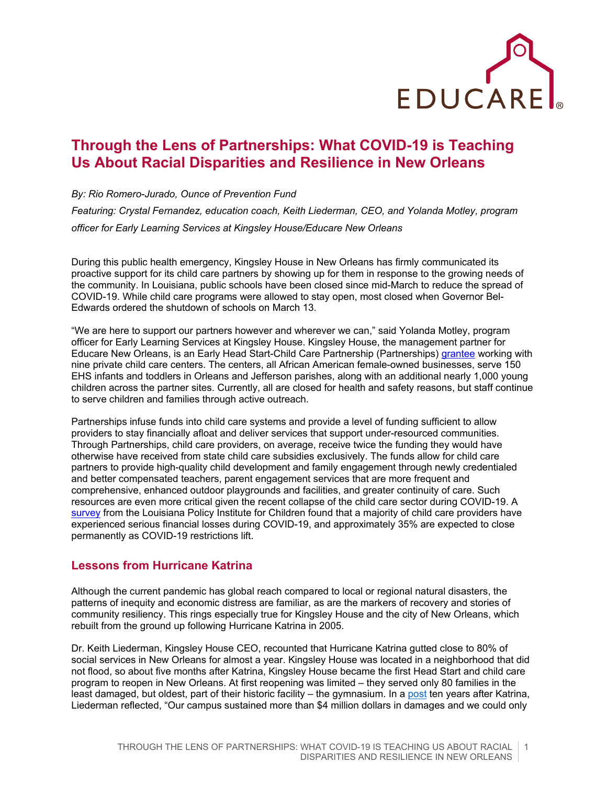

## **Through the Lens of Partnerships: What COVID-19 is Teaching Us About Racial Disparities and Resilience in New Orleans**

*By: Rio Romero-Jurado, Ounce of Prevention Fund Featuring: Crystal Fernandez, education coach, Keith Liederman, CEO, and Yolanda Motley, program officer for Early Learning Services at Kingsley House/Educare New Orleans*

During this public health emergency, Kingsley House in New Orleans has firmly communicated its proactive support for its child care partners by showing up for them in response to the growing needs of the community. In Louisiana, public schools have been closed since mid-March to reduce the spread of COVID-19. While child care programs were allowed to stay open, most closed when Governor Bel-Edwards ordered the shutdown of schools on March 13.

"We are here to support our partners however and wherever we can," said Yolanda Motley, program officer for Early Learning Services at Kingsley House. Kingsley House, the management partner for Educare New Orleans, is an Early Head Start-Child Care Partnership (Partnerships) [grantee](https://www.kingsleyhouse.org/child-care-partnerships/) working with nine private child care centers. The centers, all African American female-owned businesses, serve 150 EHS infants and toddlers in Orleans and Jefferson parishes, along with an additional nearly 1,000 young children across the partner sites. Currently, all are closed for health and safety reasons, but staff continue to serve children and families through active outreach.

Partnerships infuse funds into child care systems and provide a level of funding sufficient to allow providers to stay financially afloat and deliver services that support under-resourced communities. Through Partnerships, child care providers, on average, receive twice the funding they would have otherwise have received from state child care subsidies exclusively. The funds allow for child care partners to provide high-quality child development and family engagement through newly credentialed and better compensated teachers, parent engagement services that are more frequent and comprehensive, enhanced outdoor playgrounds and facilities, and greater continuity of care. Such resources are even more critical given the recent collapse of the child care sector during COVID-19. A [survey](https://htv-prod-media.s3.amazonaws.com/files/louisiana-child-care-report-1586465567.pdf) from the Louisiana Policy Institute for Children found that a majority of child care providers have experienced serious financial losses during COVID-19, and approximately 35% are expected to close permanently as COVID-19 restrictions lift.

## **Lessons from Hurricane Katrina**

Although the current pandemic has global reach compared to local or regional natural disasters, the patterns of inequity and economic distress are familiar, as are the markers of recovery and stories of community resiliency. This rings especially true for Kingsley House and the city of New Orleans, which rebuilt from the ground up following Hurricane Katrina in 2005.

Dr. Keith Liederman, Kingsley House CEO, recounted that Hurricane Katrina gutted close to 80% of social services in New Orleans for almost a year. Kingsley House was located in a neighborhood that did not flood, so about five months after Katrina, Kingsley House became the first Head Start and child care program to reopen in New Orleans. At first reopening was limited – they served only 80 families in the least damaged, but oldest, part of their historic facility – the gymnasium. In a [post](https://www.kingsleyhouse.org/katrina-10-reflections-ceo/) ten years after Katrina, Liederman reflected, "Our campus sustained more than \$4 million dollars in damages and we could only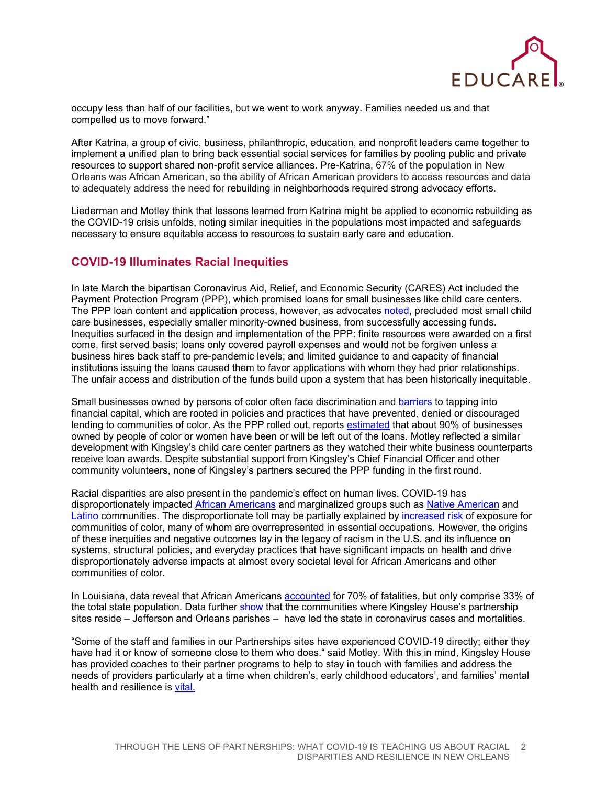

occupy less than half of our facilities, but we went to work anyway. Families needed us and that compelled us to move forward."

After Katrina, a group of civic, business, philanthropic, education, and nonprofit leaders came together to implement a unified plan to bring back essential social services for families by pooling public and private resources to support shared non-profit service alliances. Pre-Katrina, 67% of the population in New Orleans was African American, so the ability of African American providers to access resources and data to adequately address the need for rebuilding in neighborhoods required strong advocacy efforts.

Liederman and Motley think that lessons learned from Katrina might be applied to economic rebuilding as the COVID-19 crisis unfolds, noting similar inequities in the populations most impacted and safeguards necessary to ensure equitable access to resources to sustain early care and education.

## **COVID-19 Illuminates Racial Inequities**

In late March the bipartisan Coronavirus Aid, Relief, and Economic Security (CARES) Act included the Payment Protection Program (PPP), which promised loans for small businesses like child care centers. The PPP loan content and application process, however, as advocate[s noted,](https://www.clasp.org/publications/fact-sheet/small-business-loans-aren-t-answer-child-care) precluded most small child care businesses, especially smaller minority-owned business, from successfully accessing funds. Inequities surfaced in the design and implementation of the PPP: finite resources were awarded on a first come, first served basis; loans only covered payroll expenses and would not be forgiven unless a business hires back staff to pre-pandemic levels; and limited guidance to and capacity of financial institutions issuing the loans caused them to favor applications with whom they had prior relationships. The unfair access and distribution of the funds build upon a system that has been historically inequitable.

Small businesses owned by persons of color often face discrimination and [barriers](https://www.nytimes.com/2020/04/10/business/minority-business-coronavirus-loans.html) to tapping into financial capital, which are rooted in policies and practices that have prevented, denied or discouraged lending to communities of color. As the PPP rolled out, reports [estimated](https://www.cbsnews.com/news/women-minority-business-owners-paycheck-protection-program-loans/) that about 90% of businesses owned by people of color or women have been or will be left out of the loans. Motley reflected a similar development with Kingsley's child care center partners as they watched their white business counterparts receive loan awards. Despite substantial support from Kingsley's Chief Financial Officer and other community volunteers, none of Kingsley's partners secured the PPP funding in the first round.

Racial disparities are also present in the pandemic's effect on human lives. COVID-19 has disproportionately impacted [African Americans](https://www.vox.com/coronavirus-covid19/2020/4/18/21226225/coronavirus-black-cdc-infection) and marginalized groups such as [Native](http://nmindepth.com/2020/05/13/covid-19-has-spread-to-most-new-mexico-tribes/) American and [Latino](https://www.latimes.com/california/story/2020-04-25/coronavirus-takes-a-larger-toll-on-younger-african-americans-and-latinos-in-california) communities. The disproportionate toll may be partially explained by [increased risk](https://www.sciencenews.org/article/coronavirus-why-african-americans-vulnerable-covid-19-health-race) of exposure for communities of color, many of whom are overrepresented in essential occupations. However, the origins of these inequities and negative outcomes lay in the legacy of racism in the U.S. and its influence on systems, structural policies, and everyday practices that have significant impacts on health and drive disproportionately adverse impacts at almost every societal level for African Americans and other communities of color.

In Louisiana, data reveal that African Americans [accounted](https://www.wwno.org/post/70-percent-dead-covid-19-louisiana-were-black-66-percent-had-hypertension-new-data-shows) for 70% of fatalities, but only comprise 33% of the total state population. Data further [show](https://www.wdsu.com/article/jefferson-parish-leads-the-state-in-coronavirus-cases-surpassing-neighboring-orleans/32425566) that the communities where Kingsley House's partnership sites reside – Jefferson and Orleans parishes – have led the state in coronavirus cases and mortalities.

"Some of the staff and families in our Partnerships sites have experienced COVID-19 directly; either they have had it or know of someone close to them who does." said Motley. With this in mind, Kingsley House has provided coaches to their partner programs to help to stay in touch with families and address the needs of providers particularly at a time when children's, early childhood educators', and families' mental health and resilience is [vital.](https://www.imaginablefutures.com/learnings/early-learning-post-covid-19/)